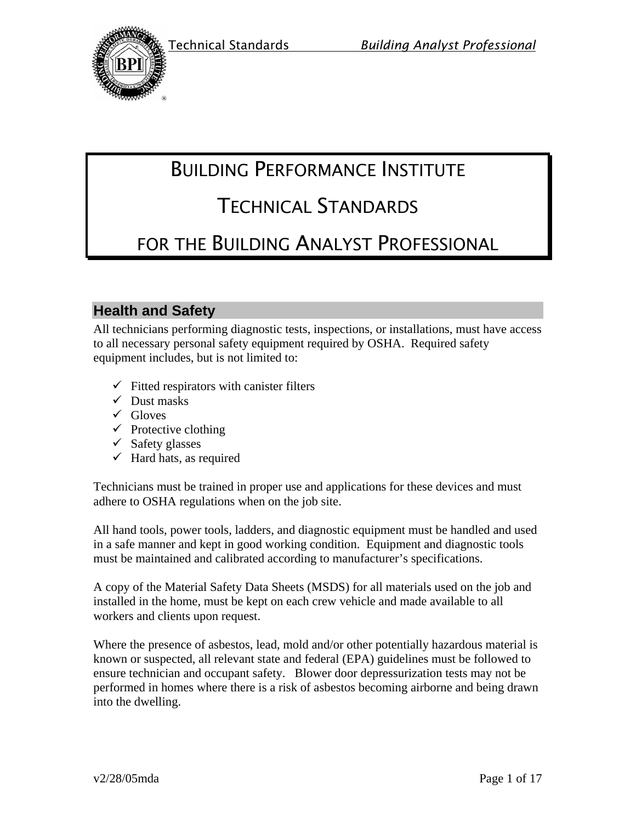



# BUILDING PERFORMANCE INSTITUTE

# TECHNICAL STANDARDS

# FOR THE BUILDING ANALYST PROFESSIONAL

# **Health and Safety**

All technicians performing diagnostic tests, inspections, or installations, must have access to all necessary personal safety equipment required by OSHA. Required safety equipment includes, but is not limited to:

- $\checkmark$  Fitted respirators with canister filters
- $\checkmark$  Dust masks
- $\checkmark$  Gloves
- $\checkmark$  Protective clothing
- $\checkmark$  Safety glasses
- $\checkmark$  Hard hats, as required

Technicians must be trained in proper use and applications for these devices and must adhere to OSHA regulations when on the job site.

All hand tools, power tools, ladders, and diagnostic equipment must be handled and used in a safe manner and kept in good working condition. Equipment and diagnostic tools must be maintained and calibrated according to manufacturer's specifications.

A copy of the Material Safety Data Sheets (MSDS) for all materials used on the job and installed in the home, must be kept on each crew vehicle and made available to all workers and clients upon request.

Where the presence of asbestos, lead, mold and/or other potentially hazardous material is known or suspected, all relevant state and federal (EPA) guidelines must be followed to ensure technician and occupant safety. Blower door depressurization tests may not be performed in homes where there is a risk of asbestos becoming airborne and being drawn into the dwelling.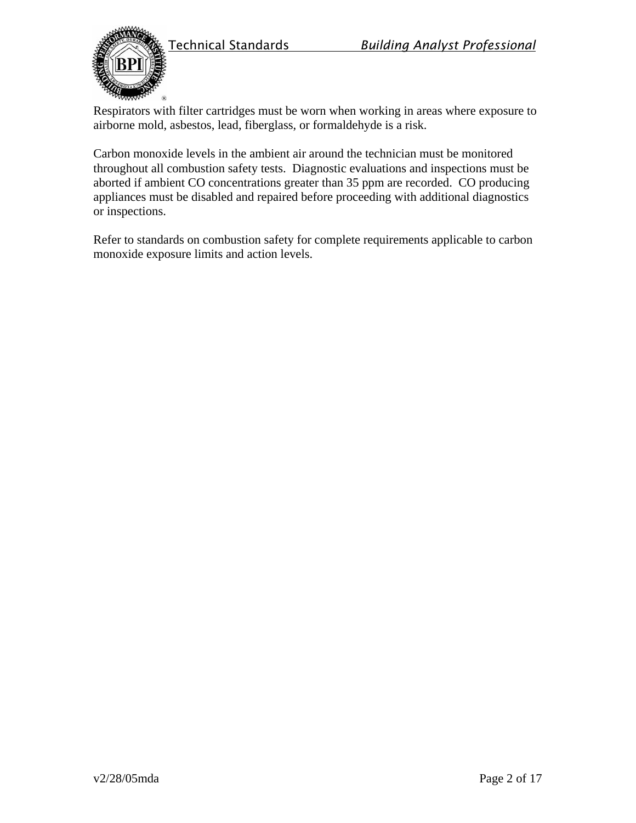



Respirators with filter cartridges must be worn when working in areas where exposure to airborne mold, asbestos, lead, fiberglass, or formaldehyde is a risk.

Carbon monoxide levels in the ambient air around the technician must be monitored throughout all combustion safety tests. Diagnostic evaluations and inspections must be aborted if ambient CO concentrations greater than 35 ppm are recorded. CO producing appliances must be disabled and repaired before proceeding with additional diagnostics or inspections.

Refer to standards on combustion safety for complete requirements applicable to carbon monoxide exposure limits and action levels.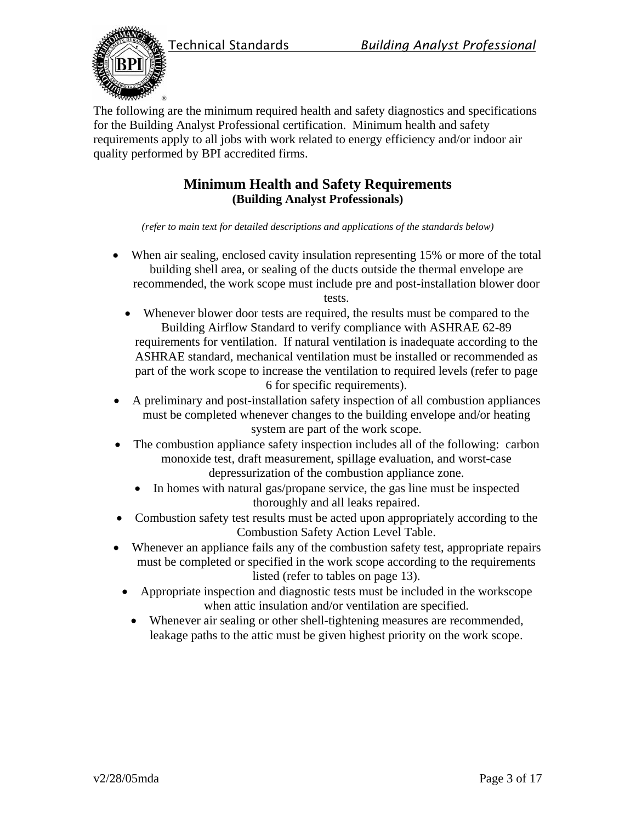



The following are the minimum required health and safety diagnostics and specifications for the Building Analyst Professional certification. Minimum health and safety requirements apply to all jobs with work related to energy efficiency and/or indoor air quality performed by BPI accredited firms.

# **Minimum Health and Safety Requirements (Building Analyst Professionals)**

*(refer to main text for detailed descriptions and applications of the standards below)* 

 When air sealing, enclosed cavity insulation representing 15% or more of the total building shell area, or sealing of the ducts outside the thermal envelope are recommended, the work scope must include pre and post-installation blower door

tests.

- Whenever blower door tests are required, the results must be compared to the Building Airflow Standard to verify compliance with ASHRAE 62-89 requirements for ventilation. If natural ventilation is inadequate according to the ASHRAE standard, mechanical ventilation must be installed or recommended as part of the work scope to increase the ventilation to required levels (refer to page 6 for specific requirements).
- A preliminary and post-installation safety inspection of all combustion appliances must be completed whenever changes to the building envelope and/or heating system are part of the work scope.
- The combustion appliance safety inspection includes all of the following: carbon monoxide test, draft measurement, spillage evaluation, and worst-case depressurization of the combustion appliance zone.
	- In homes with natural gas/propane service, the gas line must be inspected thoroughly and all leaks repaired.
- Combustion safety test results must be acted upon appropriately according to the Combustion Safety Action Level Table.
- Whenever an appliance fails any of the combustion safety test, appropriate repairs must be completed or specified in the work scope according to the requirements listed (refer to tables on page 13).
	- Appropriate inspection and diagnostic tests must be included in the workscope when attic insulation and/or ventilation are specified.
		- Whenever air sealing or other shell-tightening measures are recommended, leakage paths to the attic must be given highest priority on the work scope.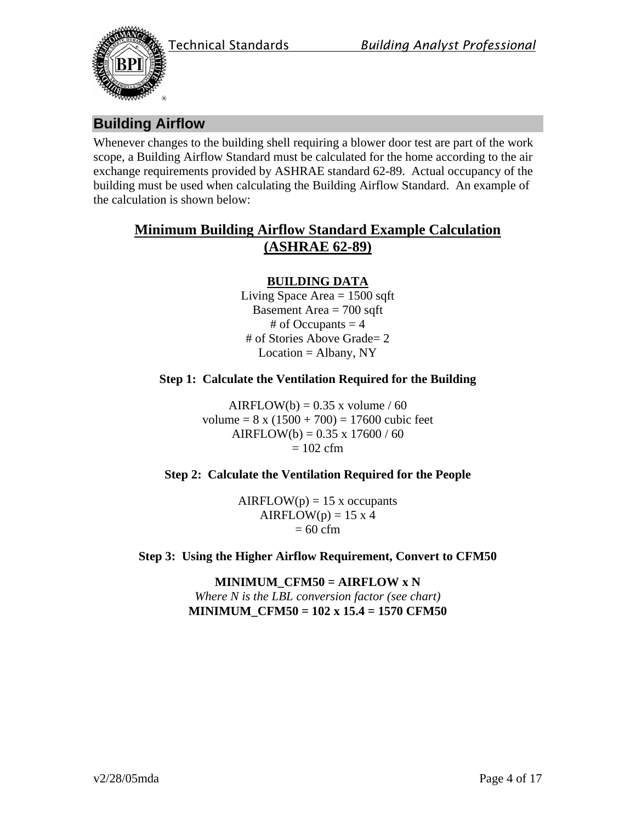



# **Building Airflow**

Whenever changes to the building shell requiring a blower door test are part of the work scope, a Building Airflow Standard must be calculated for the home according to the air exchange requirements provided by ASHRAE standard 62-89. Actual occupancy of the building must be used when calculating the Building Airflow Standard. An example of the calculation is shown below:

# **Minimum Building Airflow Standard Example Calculation (ASHRAE 62-89)**

### **BUILDING DATA**

Living Space Area  $= 1500$  sqft Basement Area  $= 700$  sqft # of Occupants  $= 4$ # of Stories Above Grade= 2  $Location = Albany, NY$ 

#### **Step 1: Calculate the Ventilation Required for the Building**

AIRFLOW(b) =  $0.35$  x volume / 60 volume =  $8 \times (1500 + 700) = 17600$  cubic feet AIRFLOW(b) =  $0.35 \times 17600 / 60$  $= 102$  cfm

#### **Step 2: Calculate the Ventilation Required for the People**

 $AIRFLOW(p) = 15$  x occupants  $AIRFLOW(p) = 15 \times 4$  $= 60$  cfm

**Step 3: Using the Higher Airflow Requirement, Convert to CFM50** 

**MINIMUM\_CFM50 = AIRFLOW x N**  *Where N is the LBL conversion factor (see chart)* **MINIMUM\_CFM50 = 102 x 15.4 = 1570 CFM50**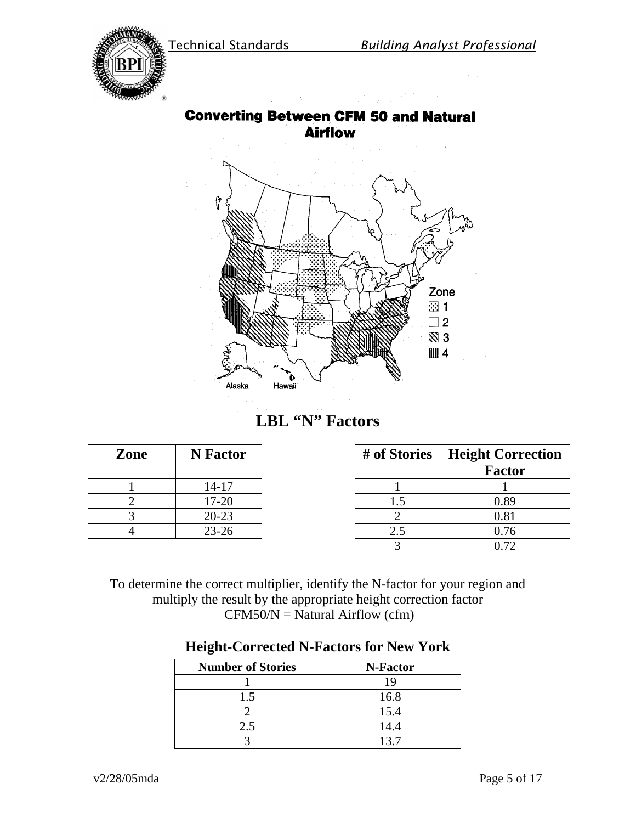

# **Converting Between CFM 50 and Natural Airflow**



# **LBL "N" Factors**

| Zone | N Factor  |  |
|------|-----------|--|
|      | $14 - 17$ |  |
|      | $17 - 20$ |  |
|      | $20 - 23$ |  |
|      | $23 - 26$ |  |

| Zone | <b>N</b> Factor | # of Stories | <b>Height Correction</b> |
|------|-----------------|--------------|--------------------------|
|      |                 |              | <b>Factor</b>            |
|      | $14 - 17$       |              |                          |
|      | 17-20           |              | 0.89                     |
|      | $20 - 23$       |              | 0.81                     |
|      | $23 - 26$       | 2.5          | 0.76                     |
|      |                 |              | 0.72                     |
|      |                 |              |                          |

To determine the correct multiplier, identify the N-factor for your region and multiply the result by the appropriate height correction factor  $CFM50/N = Natural Airflow (cfm)$ 

| <b>Number of Stories</b> | N-Factor |
|--------------------------|----------|
|                          | 19       |
| 1.5                      | 16.8     |
|                          | 15.4     |
| 2.5                      | 14.4     |
|                          | 137      |

## **Height-Corrected N-Factors for New York**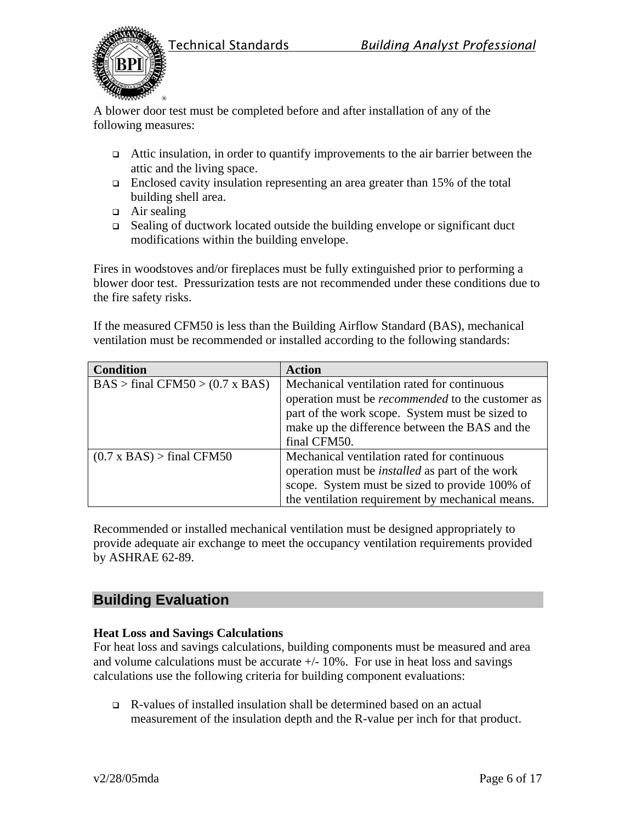



A blower door test must be completed before and after installation of any of the following measures:

- $\Box$  Attic insulation, in order to quantify improvements to the air barrier between the attic and the living space.
- Enclosed cavity insulation representing an area greater than 15% of the total building shell area.
- $\Box$  Air sealing
- □ Sealing of ductwork located outside the building envelope or significant duct modifications within the building envelope.

Fires in woodstoves and/or fireplaces must be fully extinguished prior to performing a blower door test. Pressurization tests are not recommended under these conditions due to the fire safety risks.

If the measured CFM50 is less than the Building Airflow Standard (BAS), mechanical ventilation must be recommended or installed according to the following standards:

| <b>Condition</b>                       | <b>Action</b>                                           |
|----------------------------------------|---------------------------------------------------------|
| $BAS > final CFM50 > (0.7 \times BAS)$ | Mechanical ventilation rated for continuous             |
|                                        | operation must be <i>recommended</i> to the customer as |
|                                        | part of the work scope. System must be sized to         |
|                                        | make up the difference between the BAS and the          |
|                                        | final CFM50.                                            |
| $(0.7 \times BAS)$ > final CFM50       | Mechanical ventilation rated for continuous             |
|                                        | operation must be <i>installed</i> as part of the work  |
|                                        | scope. System must be sized to provide 100% of          |
|                                        | the ventilation requirement by mechanical means.        |

Recommended or installed mechanical ventilation must be designed appropriately to provide adequate air exchange to meet the occupancy ventilation requirements provided by ASHRAE 62-89.

# **Building Evaluation**

## **Heat Loss and Savings Calculations**

For heat loss and savings calculations, building components must be measured and area and volume calculations must be accurate  $+/- 10\%$ . For use in heat loss and savings calculations use the following criteria for building component evaluations:

 R-values of installed insulation shall be determined based on an actual measurement of the insulation depth and the R-value per inch for that product.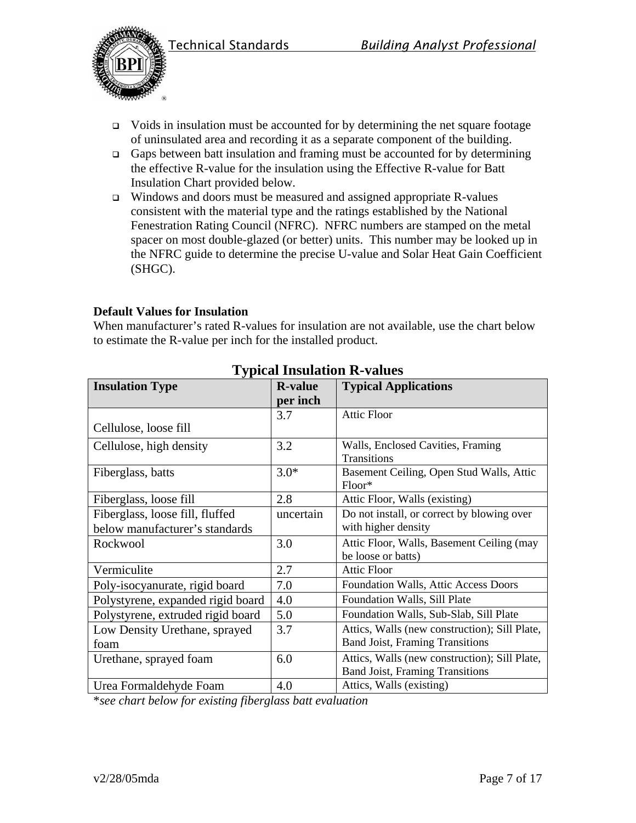



- $\Box$  Voids in insulation must be accounted for by determining the net square footage of uninsulated area and recording it as a separate component of the building.
- Gaps between batt insulation and framing must be accounted for by determining the effective R-value for the insulation using the Effective R-value for Batt Insulation Chart provided below.
- $\Box$  Windows and doors must be measured and assigned appropriate R-values consistent with the material type and the ratings established by the National Fenestration Rating Council (NFRC). NFRC numbers are stamped on the metal spacer on most double-glazed (or better) units. This number may be looked up in the NFRC guide to determine the precise U-value and Solar Heat Gain Coefficient (SHGC).

### **Default Values for Insulation**

When manufacturer's rated R-values for insulation are not available, use the chart below to estimate the R-value per inch for the installed product.

| <b>Insulation Type</b>            | <b>R-value</b> | <b>Typical Applications</b>                   |
|-----------------------------------|----------------|-----------------------------------------------|
|                                   | per inch       |                                               |
|                                   | 3.7            | <b>Attic Floor</b>                            |
| Cellulose, loose fill             |                |                                               |
| Cellulose, high density           | 3.2            | Walls, Enclosed Cavities, Framing             |
|                                   |                | Transitions                                   |
| Fiberglass, batts                 | $3.0*$         | Basement Ceiling, Open Stud Walls, Attic      |
|                                   |                | Floor*                                        |
| Fiberglass, loose fill            | 2.8            | Attic Floor, Walls (existing)                 |
| Fiberglass, loose fill, fluffed   | uncertain      | Do not install, or correct by blowing over    |
| below manufacturer's standards    |                | with higher density                           |
| Rockwool                          | 3.0            | Attic Floor, Walls, Basement Ceiling (may     |
|                                   |                | be loose or batts)                            |
| Vermiculite                       | 2.7            | <b>Attic Floor</b>                            |
| Poly-isocyanurate, rigid board    | 7.0            | Foundation Walls, Attic Access Doors          |
| Polystyrene, expanded rigid board | 4.0            | Foundation Walls, Sill Plate                  |
| Polystyrene, extruded rigid board | 5.0            | Foundation Walls, Sub-Slab, Sill Plate        |
| Low Density Urethane, sprayed     | 3.7            | Attics, Walls (new construction); Sill Plate, |
| foam                              |                | <b>Band Joist, Framing Transitions</b>        |
| Urethane, sprayed foam            | 6.0            | Attics, Walls (new construction); Sill Plate, |
|                                   |                | <b>Band Joist, Framing Transitions</b>        |
| Urea Formaldehyde Foam            | 4.0            | Attics, Walls (existing)                      |

# **Typical Insulation R-values**

\**see chart below for existing fiberglass batt evaluation*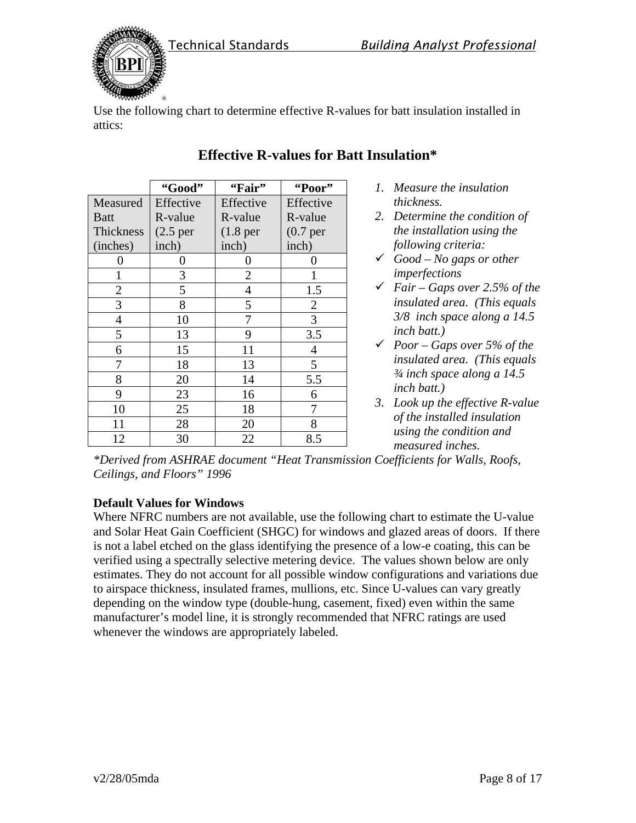



Use the following chart to determine effective R-values for batt insulation installed in attics:

|                | "Good"                | "Fair"                | "Poor"         |
|----------------|-----------------------|-----------------------|----------------|
| Measured       | Effective             | Effective             | Effective      |
| <b>Batt</b>    | R-value               | R-value               | R-value        |
| Thickness      | (2.5 <sub>per</sub> ) | (1.8 <sub>per</sub> ) | $(0.7)$ per    |
| (inches)       | inch)                 | inch)                 | inch)          |
|                | 0                     | 0                     |                |
| 1              | 3                     | $\overline{2}$        |                |
| $\overline{2}$ | 5                     | 4                     | 1.5            |
| 3              | 8                     | 5                     | $\overline{2}$ |
| $\overline{4}$ | 10                    |                       | 3              |
| 5              | 13                    | 9                     | 3.5            |
| 6              | 15                    | 11                    | 4              |
| 7              | 18                    | 13                    | 5              |
| 8              | 20                    | 14                    | 5.5            |
| 9              | 23                    | 16                    | 6              |
| 10             | 25                    | 18                    | 7              |
| 11             | 28                    | 20                    | 8              |
| 12             | 30                    | 22                    | 8.5            |

# **Effective R-values for Batt Insulation\***

- *1. Measure the insulation thickness.*
- *2. Determine the condition of the installation using the following criteria:*
- *Good No gaps or other imperfections*
- *Fair Gaps over 2.5% of the insulated area. (This equals 3/8 inch space along a 14.5 inch batt.)*
- *Poor Gaps over 5% of the insulated area. (This equals ¾ inch space along a 14.5 inch batt.)*
- *3. Look up the effective R-value of the installed insulation using the condition and measured inches.*

*\*Derived from ASHRAE document "Heat Transmission Coefficients for Walls, Roofs, Ceilings, and Floors" 1996* 

## **Default Values for Windows**

Where NFRC numbers are not available, use the following chart to estimate the U-value and Solar Heat Gain Coefficient (SHGC) for windows and glazed areas of doors. If there is not a label etched on the glass identifying the presence of a low-e coating, this can be verified using a spectrally selective metering device. The values shown below are only estimates. They do not account for all possible window configurations and variations due to airspace thickness, insulated frames, mullions, etc. Since U-values can vary greatly depending on the window type (double-hung, casement, fixed) even within the same manufacturer's model line, it is strongly recommended that NFRC ratings are used whenever the windows are appropriately labeled.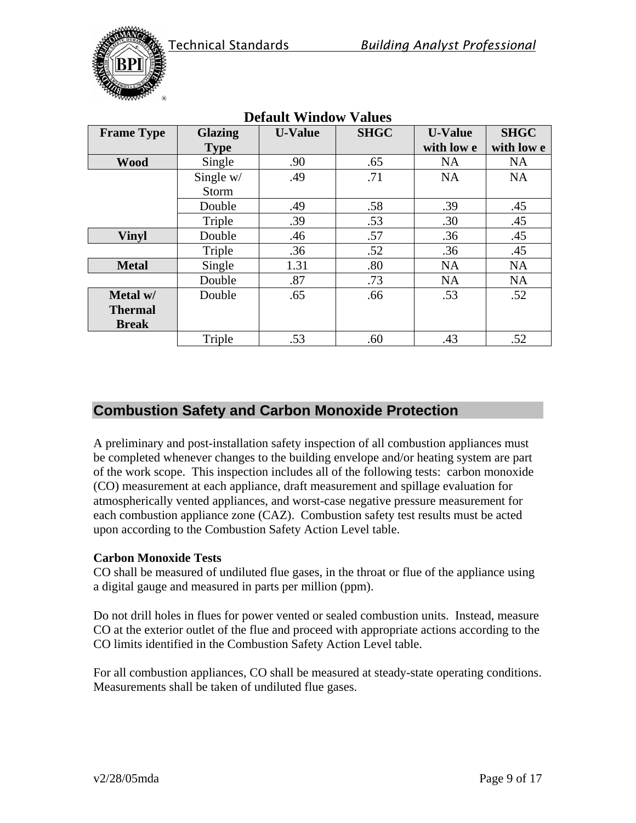

|                   |                | рский пимом    |             |                |             |
|-------------------|----------------|----------------|-------------|----------------|-------------|
| <b>Frame Type</b> | <b>Glazing</b> | <b>U-Value</b> | <b>SHGC</b> | <b>U-Value</b> | <b>SHGC</b> |
|                   | <b>Type</b>    |                |             | with low e     | with low e  |
| <b>Wood</b>       | Single         | .90            | .65         | <b>NA</b>      | <b>NA</b>   |
|                   | Single w/      | .49            | .71         | <b>NA</b>      | <b>NA</b>   |
|                   | <b>Storm</b>   |                |             |                |             |
|                   | Double         | .49            | .58         | .39            | .45         |
|                   | Triple         | .39            | .53         | .30            | .45         |
| <b>Vinyl</b>      | Double         | .46            | .57         | .36            | .45         |
|                   | Triple         | .36            | .52         | .36            | .45         |
| <b>Metal</b>      | Single         | 1.31           | .80         | <b>NA</b>      | <b>NA</b>   |
|                   | Double         | .87            | .73         | <b>NA</b>      | <b>NA</b>   |
| Metal w/          | Double         | .65            | .66         | .53            | .52         |
| <b>Thermal</b>    |                |                |             |                |             |
| <b>Break</b>      |                |                |             |                |             |
|                   | Triple         | .53            | .60         | .43            | .52         |

# **Default Window Values**

# **Combustion Safety and Carbon Monoxide Protection**

A preliminary and post-installation safety inspection of all combustion appliances must be completed whenever changes to the building envelope and/or heating system are part of the work scope. This inspection includes all of the following tests: carbon monoxide (CO) measurement at each appliance, draft measurement and spillage evaluation for atmospherically vented appliances, and worst-case negative pressure measurement for each combustion appliance zone (CAZ). Combustion safety test results must be acted upon according to the Combustion Safety Action Level table.

#### **Carbon Monoxide Tests**

CO shall be measured of undiluted flue gases, in the throat or flue of the appliance using a digital gauge and measured in parts per million (ppm).

Do not drill holes in flues for power vented or sealed combustion units. Instead, measure CO at the exterior outlet of the flue and proceed with appropriate actions according to the CO limits identified in the Combustion Safety Action Level table.

For all combustion appliances, CO shall be measured at steady-state operating conditions. Measurements shall be taken of undiluted flue gases.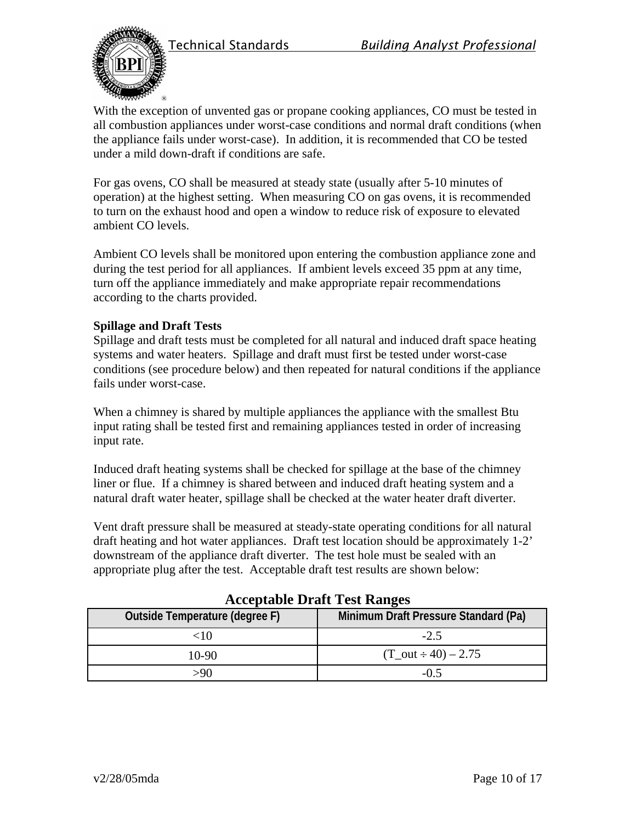



With the exception of unvented gas or propane cooking appliances, CO must be tested in all combustion appliances under worst-case conditions and normal draft conditions (when the appliance fails under worst-case). In addition, it is recommended that CO be tested under a mild down-draft if conditions are safe.

For gas ovens, CO shall be measured at steady state (usually after 5-10 minutes of operation) at the highest setting. When measuring CO on gas ovens, it is recommended to turn on the exhaust hood and open a window to reduce risk of exposure to elevated ambient CO levels.

Ambient CO levels shall be monitored upon entering the combustion appliance zone and during the test period for all appliances. If ambient levels exceed 35 ppm at any time, turn off the appliance immediately and make appropriate repair recommendations according to the charts provided.

#### **Spillage and Draft Tests**

Spillage and draft tests must be completed for all natural and induced draft space heating systems and water heaters. Spillage and draft must first be tested under worst-case conditions (see procedure below) and then repeated for natural conditions if the appliance fails under worst-case.

When a chimney is shared by multiple appliances the appliance with the smallest Btu input rating shall be tested first and remaining appliances tested in order of increasing input rate.

Induced draft heating systems shall be checked for spillage at the base of the chimney liner or flue. If a chimney is shared between and induced draft heating system and a natural draft water heater, spillage shall be checked at the water heater draft diverter.

Vent draft pressure shall be measured at steady-state operating conditions for all natural draft heating and hot water appliances. Draft test location should be approximately 1-2' downstream of the appliance draft diverter. The test hole must be sealed with an appropriate plug after the test. Acceptable draft test results are shown below:

| Acceptable Drait Test Ranges   |                                      |  |  |
|--------------------------------|--------------------------------------|--|--|
| Outside Temperature (degree F) | Minimum Draft Pressure Standard (Pa) |  |  |
| <10                            | $-2.5$                               |  |  |
| $10-90$                        | $(T_out \div 40) - 2.75$             |  |  |
| >90                            | $-0.5$                               |  |  |

**Acceptable Draft Test Ranges**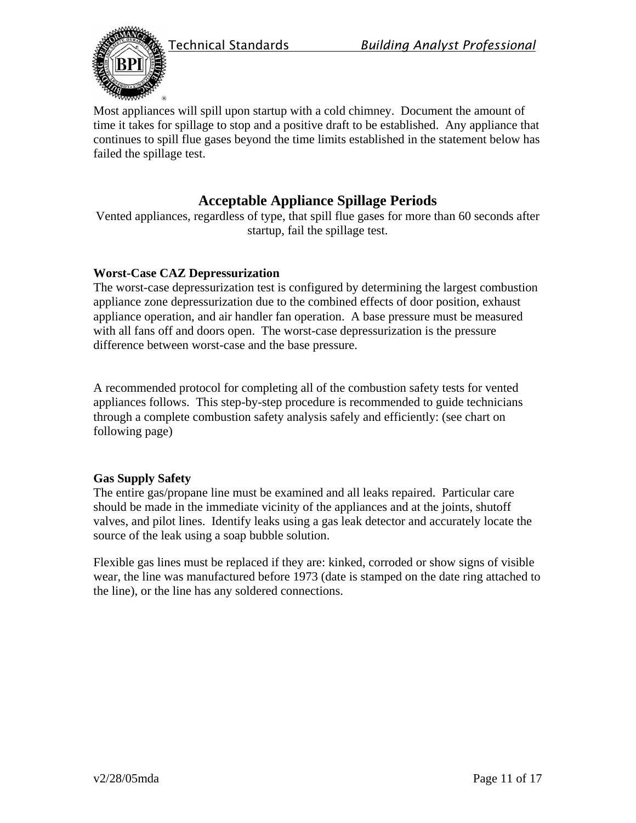



Most appliances will spill upon startup with a cold chimney. Document the amount of time it takes for spillage to stop and a positive draft to be established. Any appliance that continues to spill flue gases beyond the time limits established in the statement below has failed the spillage test.

# **Acceptable Appliance Spillage Periods**

Vented appliances, regardless of type, that spill flue gases for more than 60 seconds after startup, fail the spillage test.

#### **Worst-Case CAZ Depressurization**

The worst-case depressurization test is configured by determining the largest combustion appliance zone depressurization due to the combined effects of door position, exhaust appliance operation, and air handler fan operation. A base pressure must be measured with all fans off and doors open. The worst-case depressurization is the pressure difference between worst-case and the base pressure.

A recommended protocol for completing all of the combustion safety tests for vented appliances follows. This step-by-step procedure is recommended to guide technicians through a complete combustion safety analysis safely and efficiently: (see chart on following page)

#### **Gas Supply Safety**

The entire gas/propane line must be examined and all leaks repaired. Particular care should be made in the immediate vicinity of the appliances and at the joints, shutoff valves, and pilot lines. Identify leaks using a gas leak detector and accurately locate the source of the leak using a soap bubble solution.

Flexible gas lines must be replaced if they are: kinked, corroded or show signs of visible wear, the line was manufactured before 1973 (date is stamped on the date ring attached to the line), or the line has any soldered connections.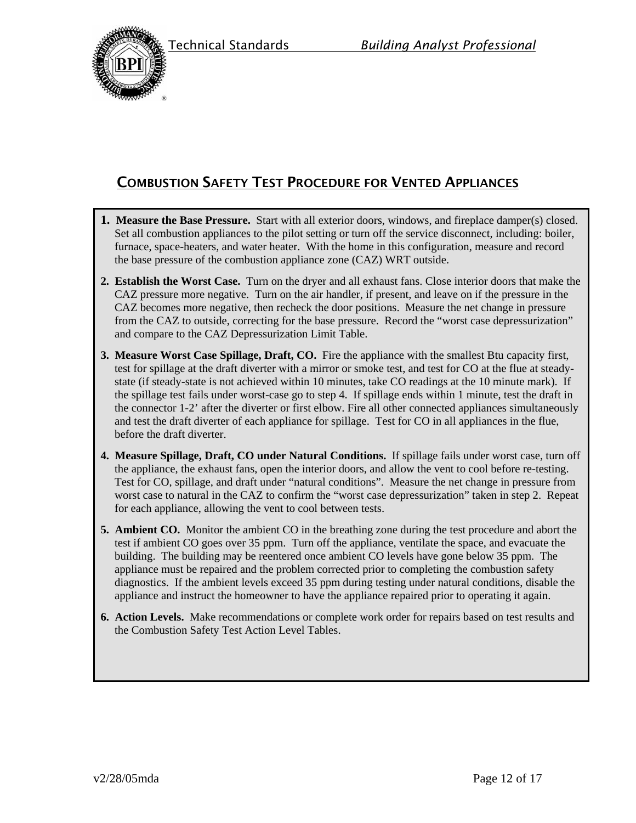



# COMBUSTION SAFETY TEST PROCEDURE FOR VENTED APPLIANCES

- **1. Measure the Base Pressure.** Start with all exterior doors, windows, and fireplace damper(s) closed. Set all combustion appliances to the pilot setting or turn off the service disconnect, including: boiler, furnace, space-heaters, and water heater. With the home in this configuration, measure and record the base pressure of the combustion appliance zone (CAZ) WRT outside.
- **2. Establish the Worst Case.** Turn on the dryer and all exhaust fans. Close interior doors that make the CAZ pressure more negative. Turn on the air handler, if present, and leave on if the pressure in the CAZ becomes more negative, then recheck the door positions. Measure the net change in pressure from the CAZ to outside, correcting for the base pressure. Record the "worst case depressurization" and compare to the CAZ Depressurization Limit Table.
- **3. Measure Worst Case Spillage, Draft, CO.** Fire the appliance with the smallest Btu capacity first, test for spillage at the draft diverter with a mirror or smoke test, and test for CO at the flue at steadystate (if steady-state is not achieved within 10 minutes, take CO readings at the 10 minute mark). If the spillage test fails under worst-case go to step 4. If spillage ends within 1 minute, test the draft in the connector 1-2' after the diverter or first elbow. Fire all other connected appliances simultaneously and test the draft diverter of each appliance for spillage. Test for CO in all appliances in the flue, before the draft diverter.
- **4. Measure Spillage, Draft, CO under Natural Conditions.** If spillage fails under worst case, turn off the appliance, the exhaust fans, open the interior doors, and allow the vent to cool before re-testing. Test for CO, spillage, and draft under "natural conditions". Measure the net change in pressure from worst case to natural in the CAZ to confirm the "worst case depressurization" taken in step 2. Repeat for each appliance, allowing the vent to cool between tests.
- **5. Ambient CO.** Monitor the ambient CO in the breathing zone during the test procedure and abort the test if ambient CO goes over 35 ppm. Turn off the appliance, ventilate the space, and evacuate the building. The building may be reentered once ambient CO levels have gone below 35 ppm. The appliance must be repaired and the problem corrected prior to completing the combustion safety diagnostics. If the ambient levels exceed 35 ppm during testing under natural conditions, disable the appliance and instruct the homeowner to have the appliance repaired prior to operating it again.
- **6. Action Levels.** Make recommendations or complete work order for repairs based on test results and the Combustion Safety Test Action Level Tables.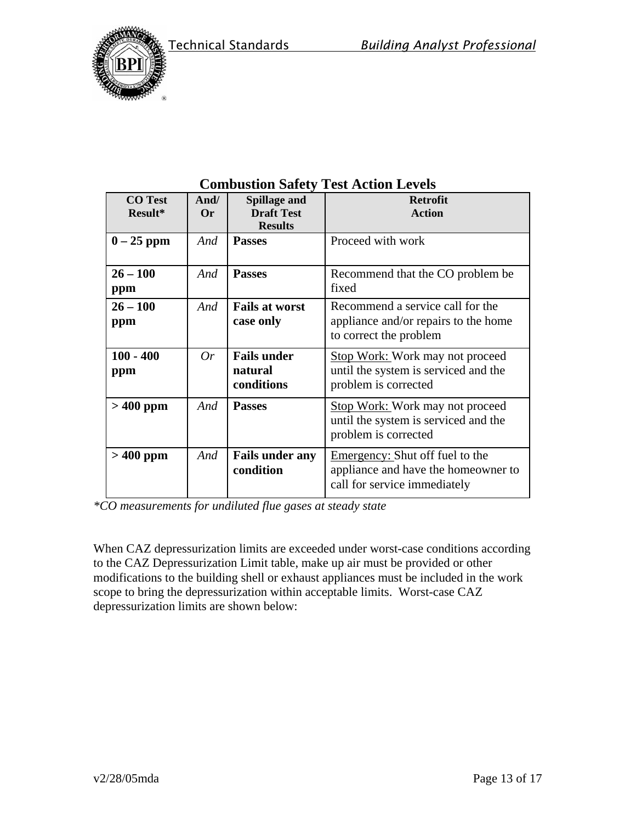



| <b>CO</b> Test<br>$Result*$ | And/<br>Or | <b>Spillage and</b><br><b>Draft Test</b> | <b>Retrofit</b><br><b>Action</b>       |
|-----------------------------|------------|------------------------------------------|----------------------------------------|
|                             |            | <b>Results</b>                           |                                        |
| $0-25$ ppm                  | And        | <b>Passes</b>                            | Proceed with work                      |
|                             |            |                                          |                                        |
| $26 - 100$                  | And        | <b>Passes</b>                            | Recommend that the CO problem be.      |
| ppm                         |            |                                          | fixed                                  |
| $26 - 100$                  | And        | <b>Fails at worst</b>                    | Recommend a service call for the       |
| ppm                         |            | case only                                | appliance and/or repairs to the home   |
|                             |            |                                          | to correct the problem                 |
| $100 - 400$                 | 0r         | <b>Fails under</b>                       | <b>Stop Work: Work may not proceed</b> |
| ppm                         |            | natural                                  | until the system is serviced and the   |
|                             |            | conditions                               | problem is corrected                   |
| $>400$ ppm                  | And        | <b>Passes</b>                            | <b>Stop Work: Work may not proceed</b> |
|                             |            |                                          | until the system is serviced and the   |
|                             |            |                                          | problem is corrected                   |
| $>400$ ppm                  | And        | <b>Fails under any</b>                   | <b>Emergency:</b> Shut off fuel to the |
|                             |            | condition                                | appliance and have the homeowner to    |
|                             |            |                                          | call for service immediately           |

# **Combustion Safety Test Action Levels**

*\*CO measurements for undiluted flue gases at steady state*

When CAZ depressurization limits are exceeded under worst-case conditions according to the CAZ Depressurization Limit table, make up air must be provided or other modifications to the building shell or exhaust appliances must be included in the work scope to bring the depressurization within acceptable limits. Worst-case CAZ depressurization limits are shown below: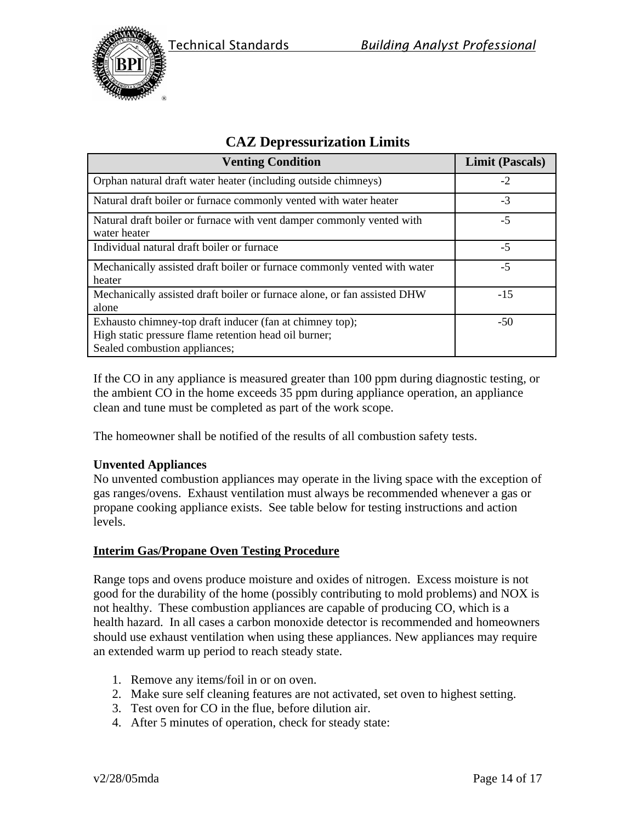



| <b>Venting Condition</b>                                                                                                                           | <b>Limit (Pascals)</b> |
|----------------------------------------------------------------------------------------------------------------------------------------------------|------------------------|
| Orphan natural draft water heater (including outside chimneys)                                                                                     | $-2$                   |
| Natural draft boiler or furnace commonly vented with water heater                                                                                  | $-3$                   |
| Natural draft boiler or furnace with vent damper commonly vented with<br>water heater                                                              | $-5$                   |
| Individual natural draft boiler or furnace                                                                                                         | $-5$                   |
| Mechanically assisted draft boiler or furnace commonly vented with water<br>heater                                                                 | $-5$                   |
| Mechanically assisted draft boiler or furnace alone, or fan assisted DHW<br>alone                                                                  | $-15$                  |
| Exhausto chimney-top draft inducer (fan at chimney top);<br>High static pressure flame retention head oil burner;<br>Sealed combustion appliances; | $-50$                  |

# **CAZ Depressurization Limits**

If the CO in any appliance is measured greater than 100 ppm during diagnostic testing, or the ambient CO in the home exceeds 35 ppm during appliance operation, an appliance clean and tune must be completed as part of the work scope.

The homeowner shall be notified of the results of all combustion safety tests.

#### **Unvented Appliances**

No unvented combustion appliances may operate in the living space with the exception of gas ranges/ovens. Exhaust ventilation must always be recommended whenever a gas or propane cooking appliance exists. See table below for testing instructions and action levels.

#### **Interim Gas/Propane Oven Testing Procedure**

Range tops and ovens produce moisture and oxides of nitrogen. Excess moisture is not good for the durability of the home (possibly contributing to mold problems) and NOX is not healthy. These combustion appliances are capable of producing CO, which is a health hazard. In all cases a carbon monoxide detector is recommended and homeowners should use exhaust ventilation when using these appliances. New appliances may require an extended warm up period to reach steady state.

- 1. Remove any items/foil in or on oven.
- 2. Make sure self cleaning features are not activated, set oven to highest setting.
- 3. Test oven for CO in the flue, before dilution air.
- 4. After 5 minutes of operation, check for steady state: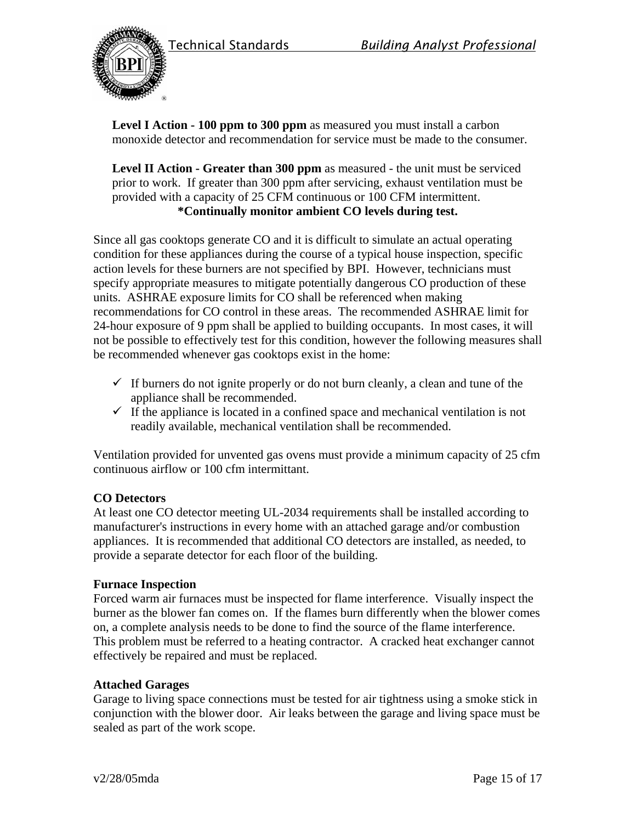



**Level I Action - 100 ppm to 300 ppm** as measured you must install a carbon monoxide detector and recommendation for service must be made to the consumer.

**Level II Action - Greater than 300 ppm** as measured - the unit must be serviced prior to work. If greater than 300 ppm after servicing, exhaust ventilation must be provided with a capacity of 25 CFM continuous or 100 CFM intermittent. **\*Continually monitor ambient CO levels during test.**

Since all gas cooktops generate CO and it is difficult to simulate an actual operating condition for these appliances during the course of a typical house inspection, specific action levels for these burners are not specified by BPI. However, technicians must specify appropriate measures to mitigate potentially dangerous CO production of these units. ASHRAE exposure limits for CO shall be referenced when making recommendations for CO control in these areas. The recommended ASHRAE limit for 24-hour exposure of 9 ppm shall be applied to building occupants. In most cases, it will not be possible to effectively test for this condition, however the following measures shall be recommended whenever gas cooktops exist in the home:

- $\checkmark$  If burners do not ignite properly or do not burn cleanly, a clean and tune of the appliance shall be recommended.
- $\checkmark$  If the appliance is located in a confined space and mechanical ventilation is not readily available, mechanical ventilation shall be recommended.

Ventilation provided for unvented gas ovens must provide a minimum capacity of 25 cfm continuous airflow or 100 cfm intermittant.

#### **CO Detectors**

At least one CO detector meeting UL-2034 requirements shall be installed according to manufacturer's instructions in every home with an attached garage and/or combustion appliances. It is recommended that additional CO detectors are installed, as needed, to provide a separate detector for each floor of the building.

#### **Furnace Inspection**

Forced warm air furnaces must be inspected for flame interference. Visually inspect the burner as the blower fan comes on. If the flames burn differently when the blower comes on, a complete analysis needs to be done to find the source of the flame interference. This problem must be referred to a heating contractor. A cracked heat exchanger cannot effectively be repaired and must be replaced.

#### **Attached Garages**

Garage to living space connections must be tested for air tightness using a smoke stick in conjunction with the blower door. Air leaks between the garage and living space must be sealed as part of the work scope.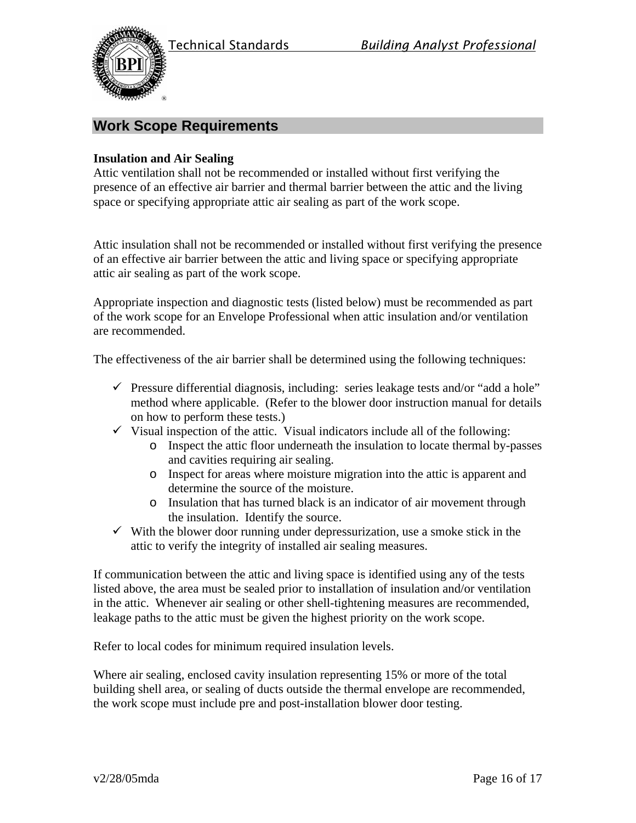

# **Work Scope Requirements**

#### **Insulation and Air Sealing**

Attic ventilation shall not be recommended or installed without first verifying the presence of an effective air barrier and thermal barrier between the attic and the living space or specifying appropriate attic air sealing as part of the work scope.

Attic insulation shall not be recommended or installed without first verifying the presence of an effective air barrier between the attic and living space or specifying appropriate attic air sealing as part of the work scope.

Appropriate inspection and diagnostic tests (listed below) must be recommended as part of the work scope for an Envelope Professional when attic insulation and/or ventilation are recommended.

The effectiveness of the air barrier shall be determined using the following techniques:

- $\checkmark$  Pressure differential diagnosis, including: series leakage tests and/or "add a hole" method where applicable. (Refer to the blower door instruction manual for details on how to perform these tests.)
- $\checkmark$  Visual inspection of the attic. Visual indicators include all of the following:
	- o Inspect the attic floor underneath the insulation to locate thermal by-passes and cavities requiring air sealing.
	- o Inspect for areas where moisture migration into the attic is apparent and determine the source of the moisture.
	- o Insulation that has turned black is an indicator of air movement through the insulation. Identify the source.
- $\checkmark$  With the blower door running under depressurization, use a smoke stick in the attic to verify the integrity of installed air sealing measures.

If communication between the attic and living space is identified using any of the tests listed above, the area must be sealed prior to installation of insulation and/or ventilation in the attic. Whenever air sealing or other shell-tightening measures are recommended, leakage paths to the attic must be given the highest priority on the work scope.

Refer to local codes for minimum required insulation levels.

Where air sealing, enclosed cavity insulation representing 15% or more of the total building shell area, or sealing of ducts outside the thermal envelope are recommended, the work scope must include pre and post-installation blower door testing.